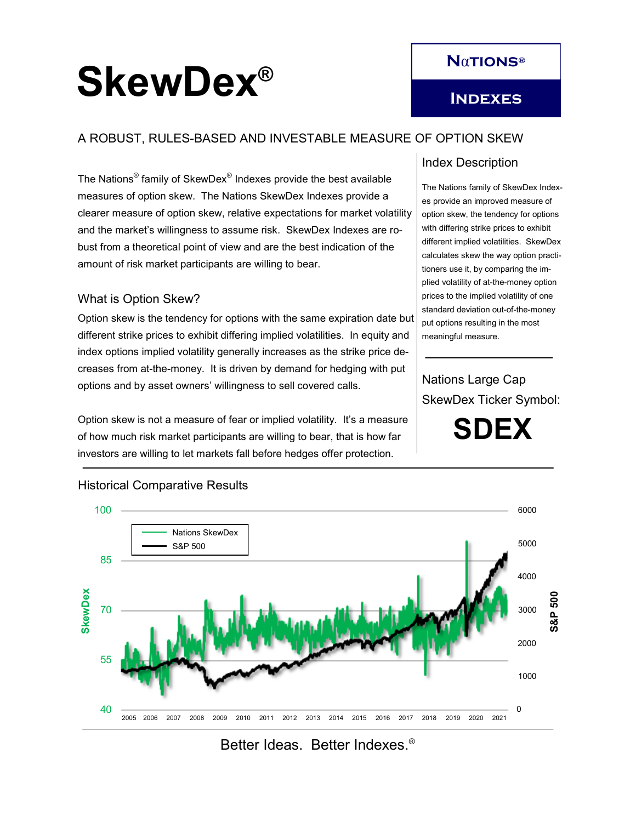# SkewDex<sup>®</sup>

# **N**α**tions®**

## A ROBUST, RULES-BASED AND INVESTABLE MEASURE OF OPTION SKEW

The Nations® family of SkewDex® Indexes provide the best available measures of option skew. The Nations SkewDex Indexes provide a clearer measure of option skew, relative expectations for market volatility and the market's willingness to assume risk. SkewDex Indexes are robust from a theoretical point of view and are the best indication of the amount of risk market participants are willing to bear.

#### What is Option Skew?

Option skew is the tendency for options with the same expiration date but different strike prices to exhibit differing implied volatilities. In equity and index options implied volatility generally increases as the strike price decreases from at-the-money. It is driven by demand for hedging with put options and by asset owners' willingness to sell covered calls.

Option skew is not a measure of fear or implied volatility. It's a measure of how much risk market participants are willing to bear, that is how far investors are willing to let markets fall before hedges offer protection.

### Index Description

The Nations family of SkewDex Indexes provide an improved measure of option skew, the tendency for options with differing strike prices to exhibit different implied volatilities. SkewDex calculates skew the way option practitioners use it, by comparing the implied volatility of at-the-money option prices to the implied volatility of one standard deviation out-of-the-money put options resulting in the most meaningful measure.

Nations Large Cap SkewDex Ticker Symbol:

**SDEX**



#### Historical Comparative Results

Better Ideas. Better Indexes.®